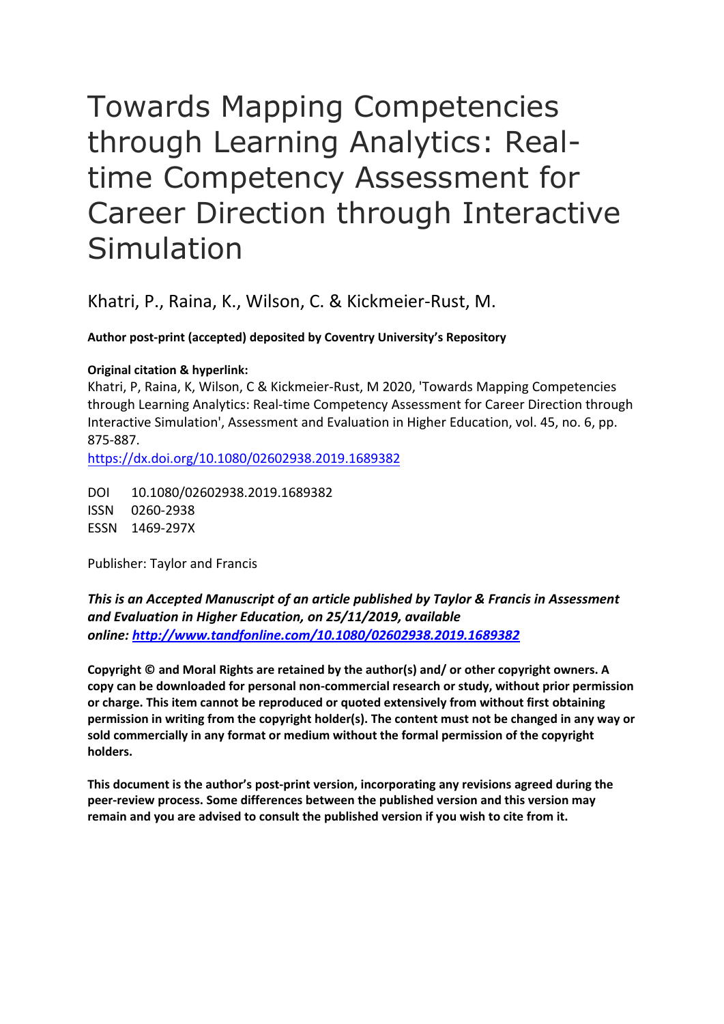# Towards Mapping Competencies through Learning Analytics: Realtime Competency Assessment for Career Direction through Interactive Simulation

Khatri, P., Raina, K., Wilson, C. & Kickmeier-Rust, M.

**Author post-print (accepted) deposited by Coventry University's Repository**

## **Original citation & hyperlink:**

Khatri, P, Raina, K, Wilson, C & Kickmeier-Rust, M 2020, 'Towards Mapping Competencies through Learning Analytics: Real-time Competency Assessment for Career Direction through Interactive Simulation', Assessment and Evaluation in Higher Education, vol. 45, no. 6, pp. 875-887.

[https://dx.doi.org/](https://dx.doi.org/%5bDOI%5d)10.1080/02602938.2019.1689382

DOI 10.1080/02602938.2019.1689382 ISSN 0260-2938 ESSN 1469-297X

Publisher: Taylor and Francis

## *This is an Accepted Manuscript of an article published by Taylor & Francis in Assessment and Evaluation in Higher Education, on 25/11/2019, available online: [http://www.tandfonline.com/1](http://www.tandfonline.com/)0.1080/02602938.2019.1689382*

**Copyright © and Moral Rights are retained by the author(s) and/ or other copyright owners. A copy can be downloaded for personal non-commercial research or study, without prior permission or charge. This item cannot be reproduced or quoted extensively from without first obtaining permission in writing from the copyright holder(s). The content must not be changed in any way or sold commercially in any format or medium without the formal permission of the copyright holders.** 

**This document is the author's post-print version, incorporating any revisions agreed during the peer-review process. Some differences between the published version and this version may remain and you are advised to consult the published version if you wish to cite from it.**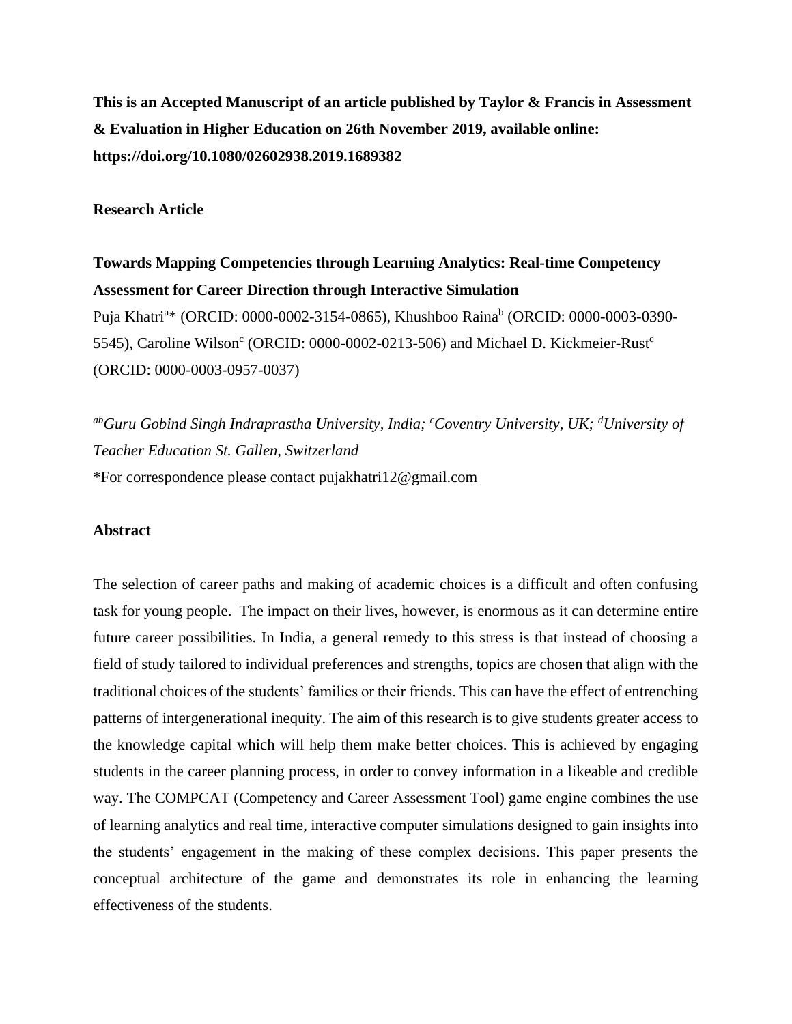**This is an Accepted Manuscript of an article published by Taylor & Francis in Assessment & Evaluation in Higher Education on 26th November 2019, available online: https://doi.org/10.1080/02602938.2019.1689382**

#### **Research Article**

**Towards Mapping Competencies through Learning Analytics: Real-time Competency Assessment for Career Direction through Interactive Simulation** Puja Khatri<sup>a</sup>\* (ORCID: 0000-0002-3154-0865), Khushboo Raina<sup>b</sup> (ORCID: 0000-0003-0390-5545), Caroline Wilson<sup>c</sup> (ORCID: 0000-0002-0213-506) and Michael D. Kickmeier-Rust<sup>c</sup> (ORCID: 0000-0003-0957-0037)

*abGuru Gobind Singh Indraprastha University, India; <sup>c</sup>Coventry University, UK; <sup>d</sup>University of Teacher Education St. Gallen, Switzerland* \*For correspondence please contact pujakhatri12@gmail.com

#### **Abstract**

The selection of career paths and making of academic choices is a difficult and often confusing task for young people. The impact on their lives, however, is enormous as it can determine entire future career possibilities. In India, a general remedy to this stress is that instead of choosing a field of study tailored to individual preferences and strengths, topics are chosen that align with the traditional choices of the students' families or their friends. This can have the effect of entrenching patterns of intergenerational inequity. The aim of this research is to give students greater access to the knowledge capital which will help them make better choices. This is achieved by engaging students in the career planning process, in order to convey information in a likeable and credible way. The COMPCAT (Competency and Career Assessment Tool) game engine combines the use of learning analytics and real time, interactive computer simulations designed to gain insights into the students' engagement in the making of these complex decisions. This paper presents the conceptual architecture of the game and demonstrates its role in enhancing the learning effectiveness of the students.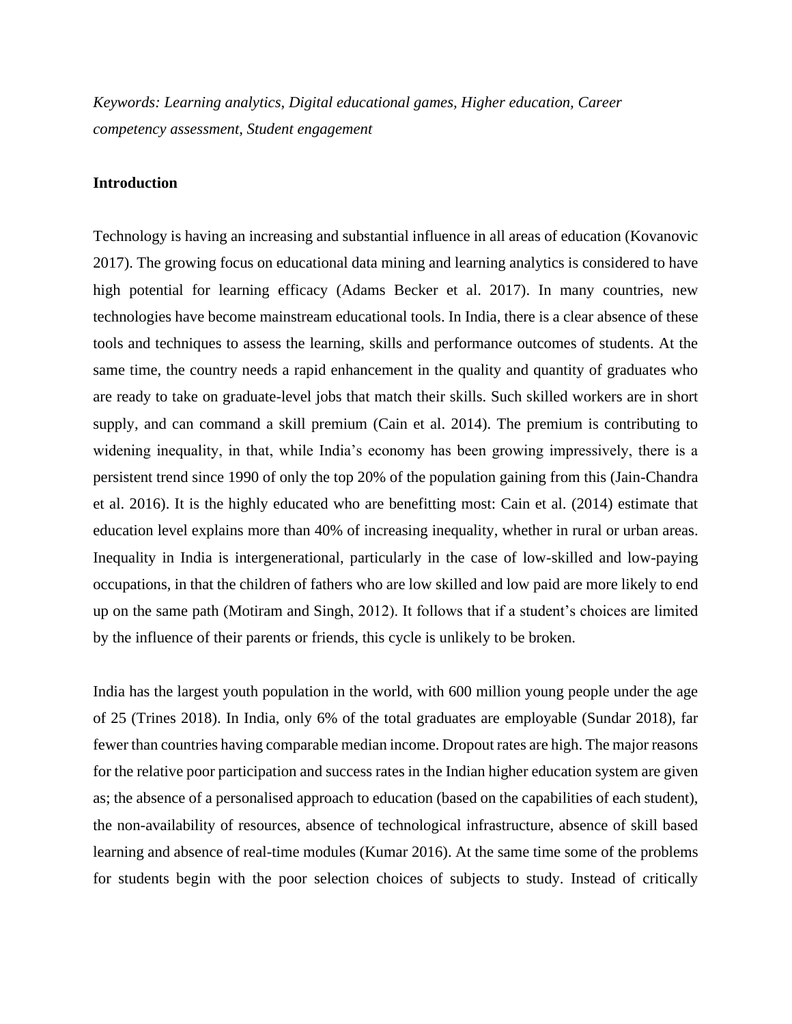*Keywords: Learning analytics, Digital educational games, Higher education, Career competency assessment, Student engagement*

#### **Introduction**

Technology is having an increasing and substantial influence in all areas of education (Kovanovic 2017). The growing focus on educational data mining and learning analytics is considered to have high potential for learning efficacy (Adams Becker et al. 2017). In many countries, new technologies have become mainstream educational tools. In India, there is a clear absence of these tools and techniques to assess the learning, skills and performance outcomes of students. At the same time, the country needs a rapid enhancement in the quality and quantity of graduates who are ready to take on graduate-level jobs that match their skills. Such skilled workers are in short supply, and can command a skill premium (Cain et al. 2014). The premium is contributing to widening inequality, in that, while India's economy has been growing impressively, there is a persistent trend since 1990 of only the top 20% of the population gaining from this (Jain-Chandra et al. 2016). It is the highly educated who are benefitting most: Cain et al. (2014) estimate that education level explains more than 40% of increasing inequality, whether in rural or urban areas. Inequality in India is intergenerational, particularly in the case of low-skilled and low-paying occupations, in that the children of fathers who are low skilled and low paid are more likely to end up on the same path (Motiram and Singh, 2012). It follows that if a student's choices are limited by the influence of their parents or friends, this cycle is unlikely to be broken.

India has the largest youth population in the world, with 600 million young people under the age of 25 (Trines 2018). In India, only 6% of the total graduates are employable (Sundar 2018), far fewer than countries having comparable median income. Dropout rates are high. The major reasons for the relative poor participation and success rates in the Indian higher education system are given as; the absence of a personalised approach to education (based on the capabilities of each student), the non-availability of resources, absence of technological infrastructure, absence of skill based learning and absence of real-time modules (Kumar 2016). At the same time some of the problems for students begin with the poor selection choices of subjects to study. Instead of critically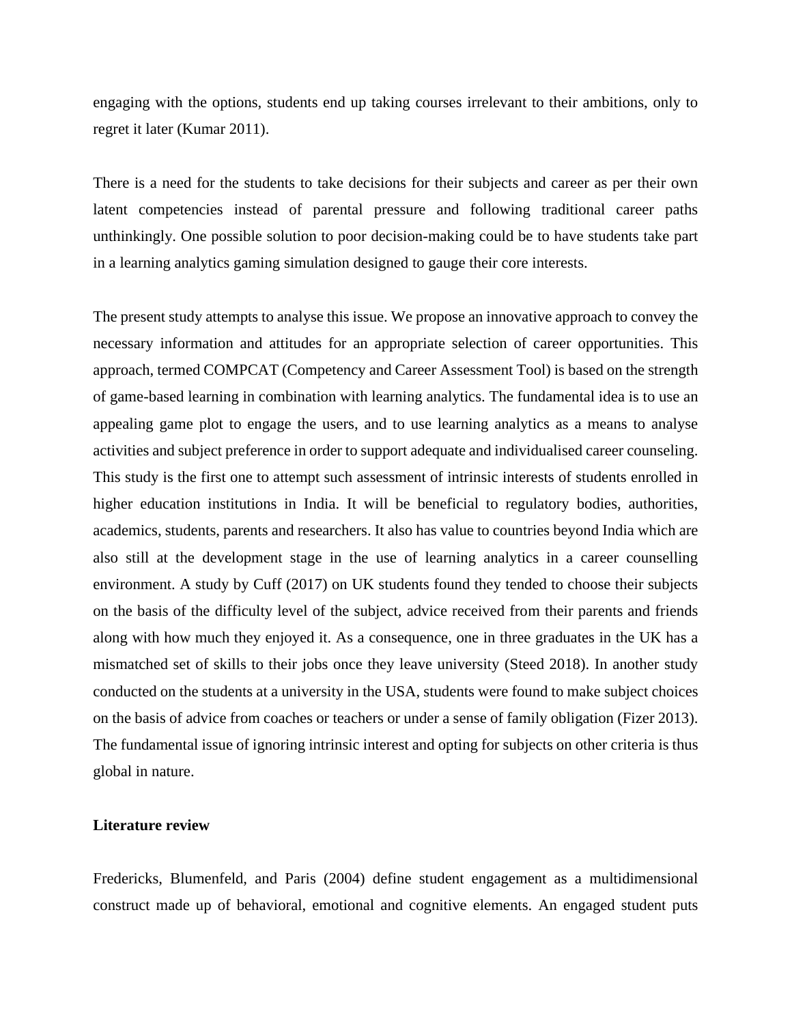engaging with the options, students end up taking courses irrelevant to their ambitions, only to regret it later (Kumar 2011).

There is a need for the students to take decisions for their subjects and career as per their own latent competencies instead of parental pressure and following traditional career paths unthinkingly. One possible solution to poor decision-making could be to have students take part in a learning analytics gaming simulation designed to gauge their core interests.

The present study attempts to analyse this issue. We propose an innovative approach to convey the necessary information and attitudes for an appropriate selection of career opportunities. This approach, termed COMPCAT (Competency and Career Assessment Tool) is based on the strength of game-based learning in combination with learning analytics. The fundamental idea is to use an appealing game plot to engage the users, and to use learning analytics as a means to analyse activities and subject preference in order to support adequate and individualised career counseling. This study is the first one to attempt such assessment of intrinsic interests of students enrolled in higher education institutions in India. It will be beneficial to regulatory bodies, authorities, academics, students, parents and researchers. It also has value to countries beyond India which are also still at the development stage in the use of learning analytics in a career counselling environment. A study by Cuff (2017) on UK students found they tended to choose their subjects on the basis of the difficulty level of the subject, advice received from their parents and friends along with how much they enjoyed it. As a consequence, one in three graduates in the UK has a mismatched set of skills to their jobs once they leave university (Steed 2018). In another study conducted on the students at a university in the USA, students were found to make subject choices on the basis of advice from coaches or teachers or under a sense of family obligation (Fizer 2013). The fundamental issue of ignoring intrinsic interest and opting for subjects on other criteria is thus global in nature.

#### **Literature review**

Fredericks, Blumenfeld, and Paris (2004) define student engagement as a multidimensional construct made up of behavioral, emotional and cognitive elements. An engaged student puts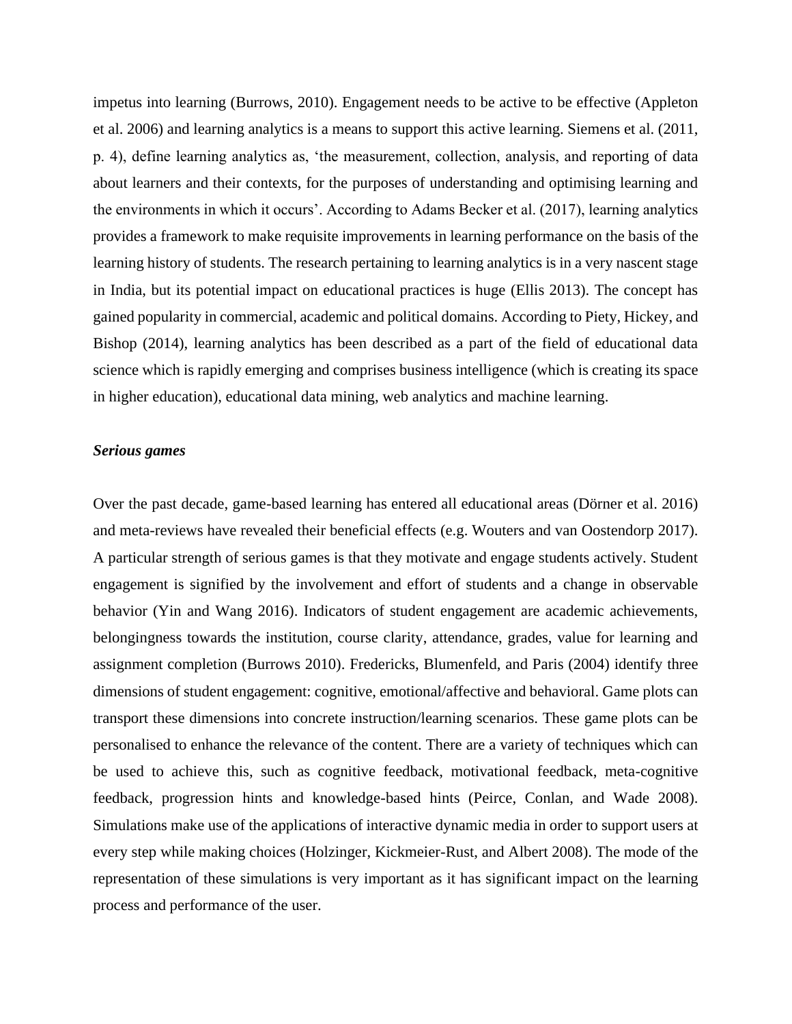impetus into learning (Burrows, 2010). Engagement needs to be active to be effective (Appleton et al. 2006) and learning analytics is a means to support this active learning. Siemens et al. (2011, p. 4), define learning analytics as, 'the measurement, collection, analysis, and reporting of data about learners and their contexts, for the purposes of understanding and optimising learning and the environments in which it occurs'. According to Adams Becker et al. (2017), learning analytics provides a framework to make requisite improvements in learning performance on the basis of the learning history of students. The research pertaining to learning analytics is in a very nascent stage in India, but its potential impact on educational practices is huge (Ellis 2013). The concept has gained popularity in commercial, academic and political domains. According to Piety, Hickey, and Bishop (2014), learning analytics has been described as a part of the field of educational data science which is rapidly emerging and comprises business intelligence (which is creating its space in higher education), educational data mining, web analytics and machine learning.

#### *Serious games*

Over the past decade, game-based learning has entered all educational areas (Dörner et al. 2016) and meta-reviews have revealed their beneficial effects (e.g. Wouters and van Oostendorp 2017). A particular strength of serious games is that they motivate and engage students actively. Student engagement is signified by the involvement and effort of students and a change in observable behavior (Yin and Wang 2016). Indicators of student engagement are academic achievements, belongingness towards the institution, course clarity, attendance, grades, value for learning and assignment completion (Burrows 2010). Fredericks, Blumenfeld, and Paris (2004) identify three dimensions of student engagement: cognitive, emotional/affective and behavioral. Game plots can transport these dimensions into concrete instruction/learning scenarios. These game plots can be personalised to enhance the relevance of the content. There are a variety of techniques which can be used to achieve this, such as cognitive feedback, motivational feedback, meta-cognitive feedback, progression hints and knowledge-based hints (Peirce, Conlan, and Wade 2008). Simulations make use of the applications of interactive dynamic media in order to support users at every step while making choices (Holzinger, Kickmeier-Rust, and Albert 2008). The mode of the representation of these simulations is very important as it has significant impact on the learning process and performance of the user.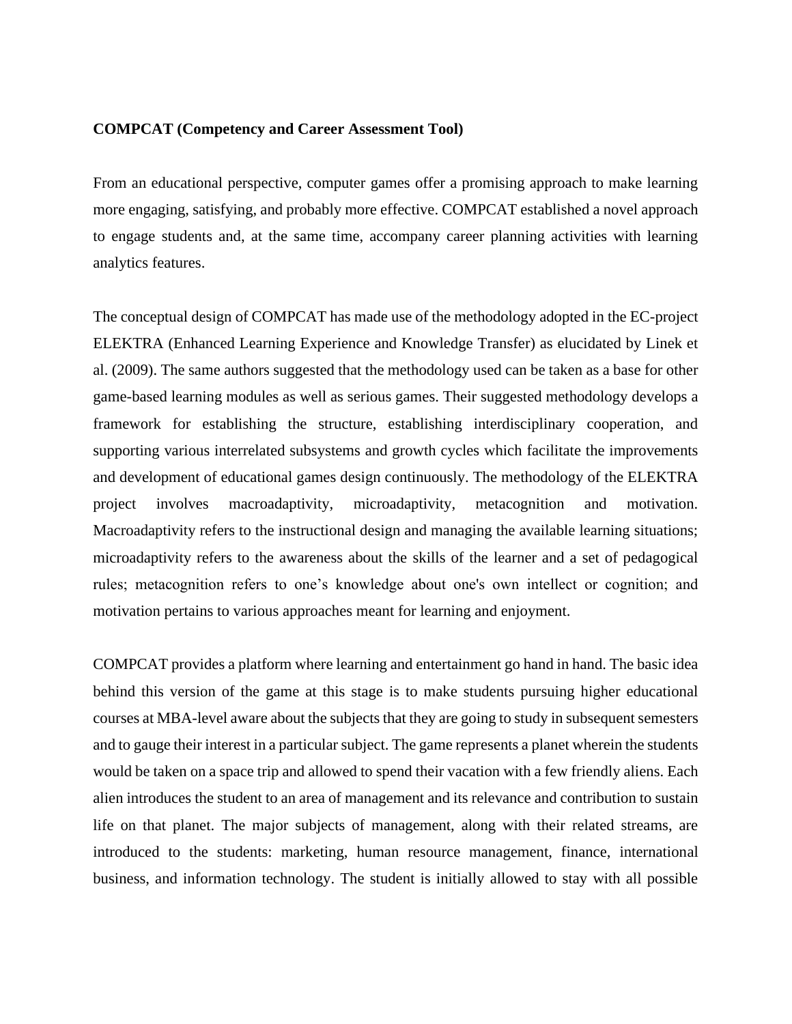#### **COMPCAT (Competency and Career Assessment Tool)**

From an educational perspective, computer games offer a promising approach to make learning more engaging, satisfying, and probably more effective. COMPCAT established a novel approach to engage students and, at the same time, accompany career planning activities with learning analytics features.

The conceptual design of COMPCAT has made use of the methodology adopted in the EC-project ELEKTRA (Enhanced Learning Experience and Knowledge Transfer) as elucidated by Linek et al. (2009). The same authors suggested that the methodology used can be taken as a base for other game-based learning modules as well as serious games. Their suggested methodology develops a framework for establishing the structure, establishing interdisciplinary cooperation, and supporting various interrelated subsystems and growth cycles which facilitate the improvements and development of educational games design continuously. The methodology of the ELEKTRA project involves macroadaptivity, microadaptivity, metacognition and motivation. Macroadaptivity refers to the instructional design and managing the available learning situations; microadaptivity refers to the awareness about the skills of the learner and a set of pedagogical rules; metacognition refers to one's knowledge about one's own intellect or cognition; and motivation pertains to various approaches meant for learning and enjoyment.

COMPCAT provides a platform where learning and entertainment go hand in hand. The basic idea behind this version of the game at this stage is to make students pursuing higher educational courses at MBA-level aware about the subjects that they are going to study in subsequent semesters and to gauge their interest in a particular subject. The game represents a planet wherein the students would be taken on a space trip and allowed to spend their vacation with a few friendly aliens. Each alien introduces the student to an area of management and its relevance and contribution to sustain life on that planet. The major subjects of management, along with their related streams, are introduced to the students: marketing, human resource management, finance, international business, and information technology. The student is initially allowed to stay with all possible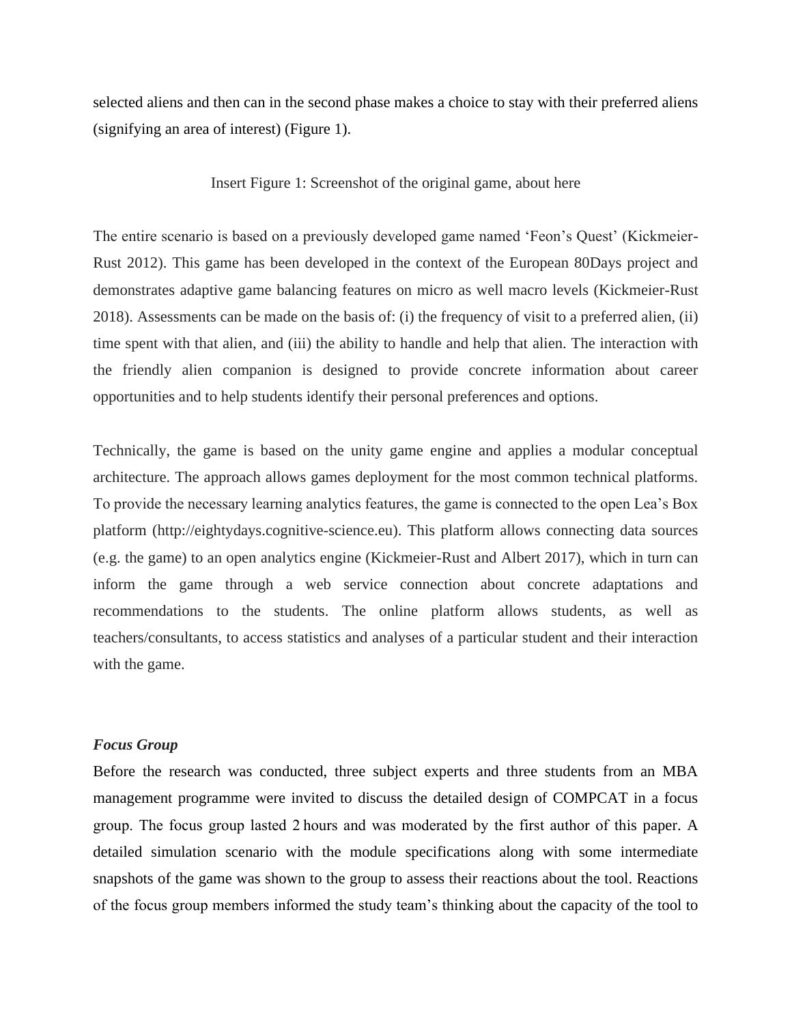selected aliens and then can in the second phase makes a choice to stay with their preferred aliens (signifying an area of interest) (Figure 1).

#### Insert Figure 1: Screenshot of the original game, about here

The entire scenario is based on a previously developed game named 'Feon's Quest' (Kickmeier-Rust 2012). This game has been developed in the context of the European 80Days project and demonstrates adaptive game balancing features on micro as well macro levels (Kickmeier-Rust 2018). Assessments can be made on the basis of: (i) the frequency of visit to a preferred alien, (ii) time spent with that alien, and (iii) the ability to handle and help that alien. The interaction with the friendly alien companion is designed to provide concrete information about career opportunities and to help students identify their personal preferences and options.

Technically, the game is based on the unity game engine and applies a modular conceptual architecture. The approach allows games deployment for the most common technical platforms. To provide the necessary learning analytics features, the game is connected to the open Lea's Box platform (http://eightydays.cognitive-science.eu). This platform allows connecting data sources (e.g. the game) to an open analytics engine (Kickmeier-Rust and Albert 2017), which in turn can inform the game through a web service connection about concrete adaptations and recommendations to the students. The online platform allows students, as well as teachers/consultants, to access statistics and analyses of a particular student and their interaction with the game.

#### *Focus Group*

Before the research was conducted, three subject experts and three students from an MBA management programme were invited to discuss the detailed design of COMPCAT in a focus group. The focus group lasted 2 hours and was moderated by the first author of this paper. A detailed simulation scenario with the module specifications along with some intermediate snapshots of the game was shown to the group to assess their reactions about the tool. Reactions of the focus group members informed the study team's thinking about the capacity of the tool to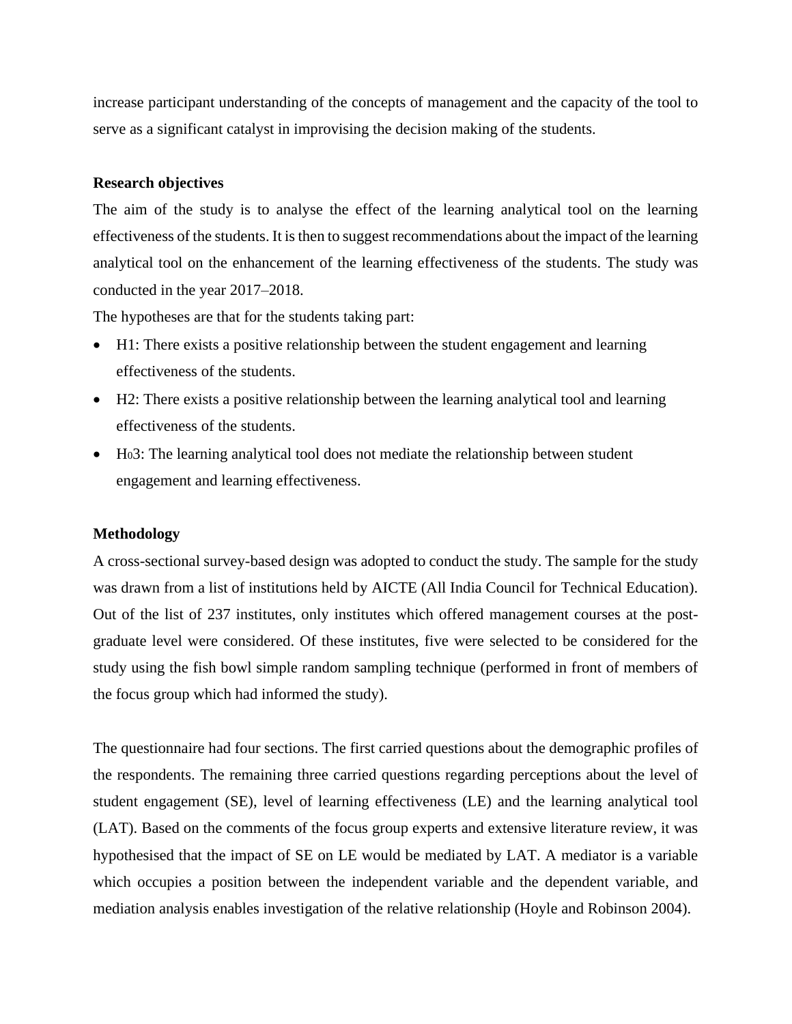increase participant understanding of the concepts of management and the capacity of the tool to serve as a significant catalyst in improvising the decision making of the students.

#### **Research objectives**

The aim of the study is to analyse the effect of the learning analytical tool on the learning effectiveness of the students. It is then to suggest recommendations about the impact of the learning analytical tool on the enhancement of the learning effectiveness of the students. The study was conducted in the year 2017–2018.

The hypotheses are that for the students taking part:

- H1: There exists a positive relationship between the student engagement and learning effectiveness of the students.
- H2: There exists a positive relationship between the learning analytical tool and learning effectiveness of the students.
- H03: The learning analytical tool does not mediate the relationship between student engagement and learning effectiveness.

#### **Methodology**

A cross-sectional survey-based design was adopted to conduct the study. The sample for the study was drawn from a list of institutions held by AICTE (All India Council for Technical Education). Out of the list of 237 institutes, only institutes which offered management courses at the postgraduate level were considered. Of these institutes, five were selected to be considered for the study using the fish bowl simple random sampling technique (performed in front of members of the focus group which had informed the study).

The questionnaire had four sections. The first carried questions about the demographic profiles of the respondents. The remaining three carried questions regarding perceptions about the level of student engagement (SE), level of learning effectiveness (LE) and the learning analytical tool (LAT). Based on the comments of the focus group experts and extensive literature review, it was hypothesised that the impact of SE on LE would be mediated by LAT. A mediator is a variable which occupies a position between the independent variable and the dependent variable, and mediation analysis enables investigation of the relative relationship (Hoyle and Robinson 2004).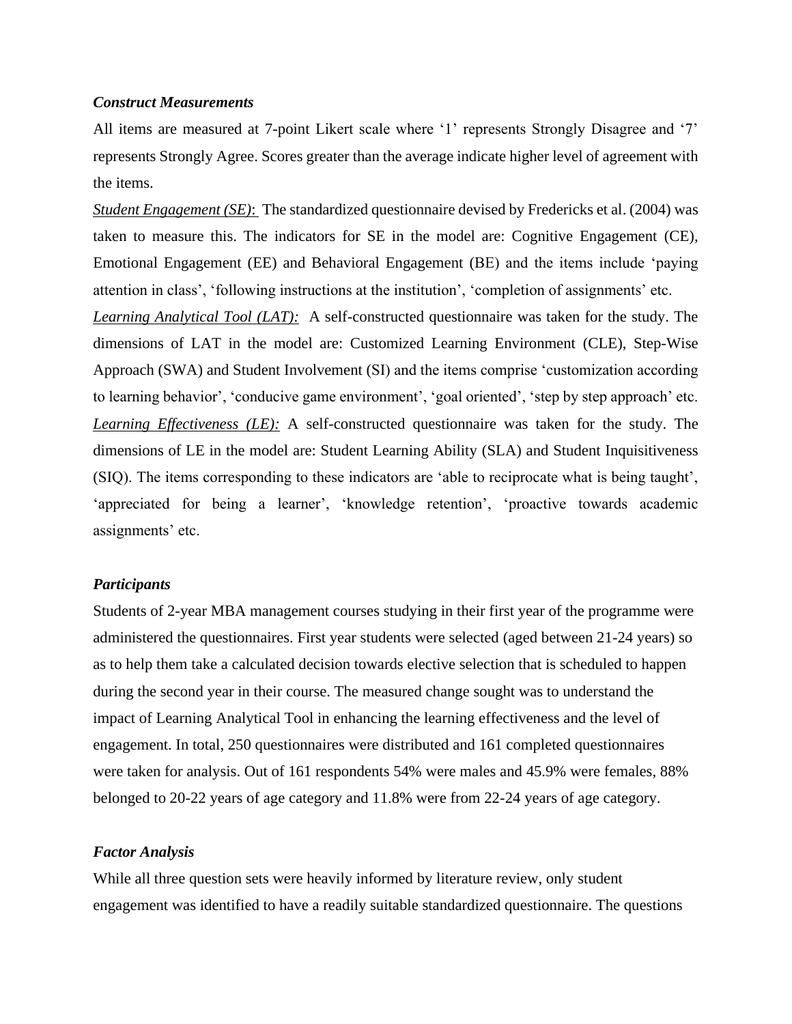#### *Construct Measurements*

All items are measured at 7-point Likert scale where '1' represents Strongly Disagree and '7' represents Strongly Agree. Scores greater than the average indicate higher level of agreement with the items.

*Student Engagement (SE)*: The standardized questionnaire devised by Fredericks et al. (2004) was taken to measure this. The indicators for SE in the model are: Cognitive Engagement (CE), Emotional Engagement (EE) and Behavioral Engagement (BE) and the items include 'paying attention in class', 'following instructions at the institution', 'completion of assignments' etc.

*Learning Analytical Tool (LAT):* A self-constructed questionnaire was taken for the study. The dimensions of LAT in the model are: Customized Learning Environment (CLE), Step-Wise Approach (SWA) and Student Involvement (SI) and the items comprise 'customization according to learning behavior', 'conducive game environment', 'goal oriented', 'step by step approach' etc. *Learning Effectiveness (LE):* A self-constructed questionnaire was taken for the study. The dimensions of LE in the model are: Student Learning Ability (SLA) and Student Inquisitiveness (SIQ). The items corresponding to these indicators are 'able to reciprocate what is being taught', 'appreciated for being a learner', 'knowledge retention', 'proactive towards academic assignments' etc.

#### *Participants*

Students of 2-year MBA management courses studying in their first year of the programme were administered the questionnaires. First year students were selected (aged between 21-24 years) so as to help them take a calculated decision towards elective selection that is scheduled to happen during the second year in their course. The measured change sought was to understand the impact of Learning Analytical Tool in enhancing the learning effectiveness and the level of engagement. In total, 250 questionnaires were distributed and 161 completed questionnaires were taken for analysis. Out of 161 respondents 54% were males and 45.9% were females, 88% belonged to 20-22 years of age category and 11.8% were from 22-24 years of age category.

#### *Factor Analysis*

While all three question sets were heavily informed by literature review, only student engagement was identified to have a readily suitable standardized questionnaire. The questions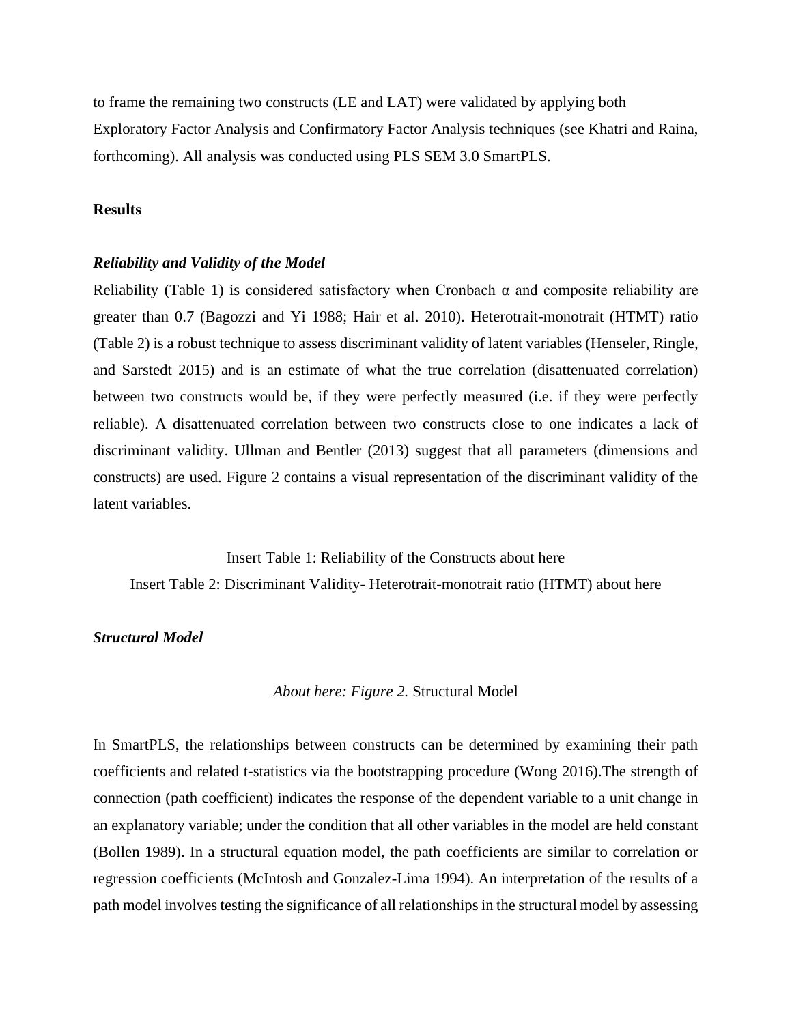to frame the remaining two constructs (LE and LAT) were validated by applying both Exploratory Factor Analysis and Confirmatory Factor Analysis techniques (see Khatri and Raina, forthcoming). All analysis was conducted using PLS SEM 3.0 SmartPLS.

#### **Results**

#### *Reliability and Validity of the Model*

Reliability (Table 1) is considered satisfactory when Cronbach  $\alpha$  and composite reliability are greater than 0.7 (Bagozzi and Yi 1988; Hair et al. 2010). Heterotrait-monotrait (HTMT) ratio (Table 2) is a robust technique to assess discriminant validity of latent variables (Henseler, Ringle, and Sarstedt 2015) and is an estimate of what the true correlation (disattenuated correlation) between two constructs would be, if they were perfectly measured (i.e. if they were perfectly reliable). A disattenuated correlation between two constructs close to one indicates a lack of discriminant validity. Ullman and Bentler (2013) suggest that all parameters (dimensions and constructs) are used. Figure 2 contains a visual representation of the discriminant validity of the latent variables.

Insert Table 1: Reliability of the Constructs about here Insert Table 2: Discriminant Validity- Heterotrait-monotrait ratio (HTMT) about here

#### *Structural Model*

*About here: Figure 2.* Structural Model

In SmartPLS, the relationships between constructs can be determined by examining their path coefficients and related t-statistics via the bootstrapping procedure (Wong 2016).The strength of connection (path coefficient) indicates the response of the dependent variable to a unit change in an explanatory variable; under the condition that all other variables in the model are held constant (Bollen 1989). In a structural equation model, the path coefficients are similar to correlation or regression coefficients (McIntosh and Gonzalez-Lima 1994). An interpretation of the results of a path model involves testing the significance of all relationships in the structural model by assessing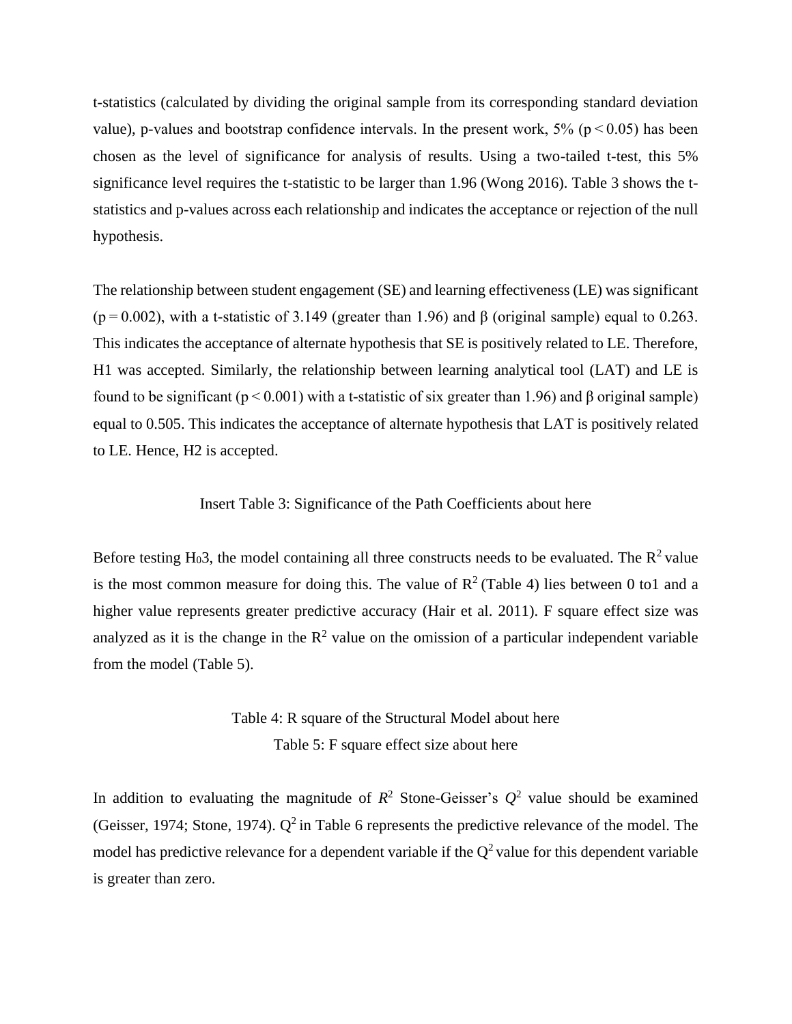t-statistics (calculated by dividing the original sample from its corresponding standard deviation value), p-values and bootstrap confidence intervals. In the present work,  $5\%$  ( $p < 0.05$ ) has been chosen as the level of significance for analysis of results. Using a two-tailed t-test, this 5% significance level requires the t-statistic to be larger than 1.96 (Wong 2016). Table 3 shows the tstatistics and p-values across each relationship and indicates the acceptance or rejection of the null hypothesis.

The relationship between student engagement (SE) and learning effectiveness (LE) was significant  $(p=0.002)$ , with a t-statistic of 3.149 (greater than 1.96) and β (original sample) equal to 0.263. This indicates the acceptance of alternate hypothesis that SE is positively related to LE. Therefore, H1 was accepted. Similarly, the relationship between learning analytical tool (LAT) and LE is found to be significant ( $p < 0.001$ ) with a t-statistic of six greater than 1.96) and β original sample) equal to 0.505. This indicates the acceptance of alternate hypothesis that LAT is positively related to LE. Hence, H2 is accepted.

#### Insert Table 3: Significance of the Path Coefficients about here

Before testing H<sub>0</sub>3, the model containing all three constructs needs to be evaluated. The  $R^2$  value is the most common measure for doing this. The value of  $\mathbb{R}^2$  (Table 4) lies between 0 to1 and a higher value represents greater predictive accuracy (Hair et al. 2011). F square effect size was analyzed as it is the change in the  $R^2$  value on the omission of a particular independent variable from the model (Table 5).

> Table 4: R square of the Structural Model about here Table 5: F square effect size about here

In addition to evaluating the magnitude of  $R^2$  Stone-Geisser's  $Q^2$  value should be examined (Geisser, 1974; Stone, 1974).  $Q^2$  in Table 6 represents the predictive relevance of the model. The model has predictive relevance for a dependent variable if the  $Q^2$  value for this dependent variable is greater than zero.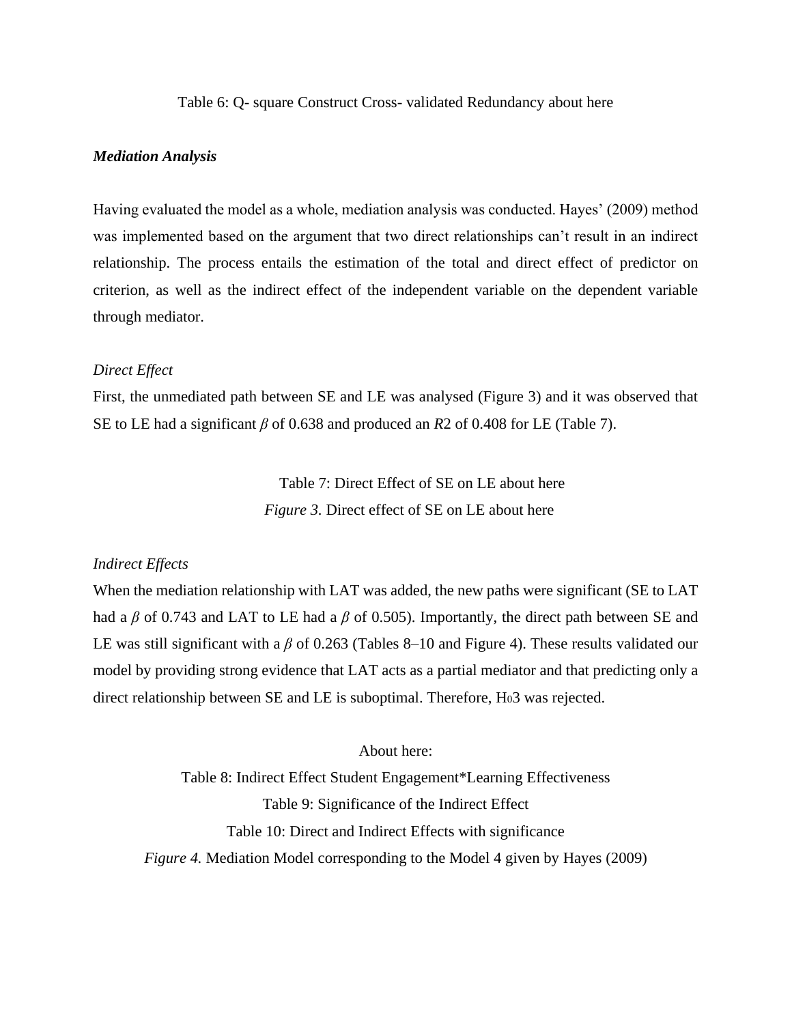Table 6: Q- square Construct Cross- validated Redundancy about here

#### *Mediation Analysis*

Having evaluated the model as a whole, mediation analysis was conducted. Hayes' (2009) method was implemented based on the argument that two direct relationships can't result in an indirect relationship. The process entails the estimation of the total and direct effect of predictor on criterion, as well as the indirect effect of the independent variable on the dependent variable through mediator.

#### *Direct Effect*

First, the unmediated path between SE and LE was analysed (Figure 3) and it was observed that SE to LE had a significant *β* of 0.638 and produced an *R*2 of 0.408 for LE (Table 7).

> Table 7: Direct Effect of SE on LE about here  *Figure 3.* Direct effect of SE on LE about here

#### *Indirect Effects*

When the mediation relationship with LAT was added, the new paths were significant (SE to LAT had a *β* of 0.743 and LAT to LE had a *β* of 0.505). Importantly, the direct path between SE and LE was still significant with a *β* of 0.263 (Tables 8–10 and Figure 4). These results validated our model by providing strong evidence that LAT acts as a partial mediator and that predicting only a direct relationship between SE and LE is suboptimal. Therefore, H<sub>0</sub>3 was rejected.

About here:

Table 8: Indirect Effect Student Engagement\*Learning Effectiveness Table 9: Significance of the Indirect Effect Table 10: Direct and Indirect Effects with significance *Figure 4.* Mediation Model corresponding to the Model 4 given by Hayes (2009)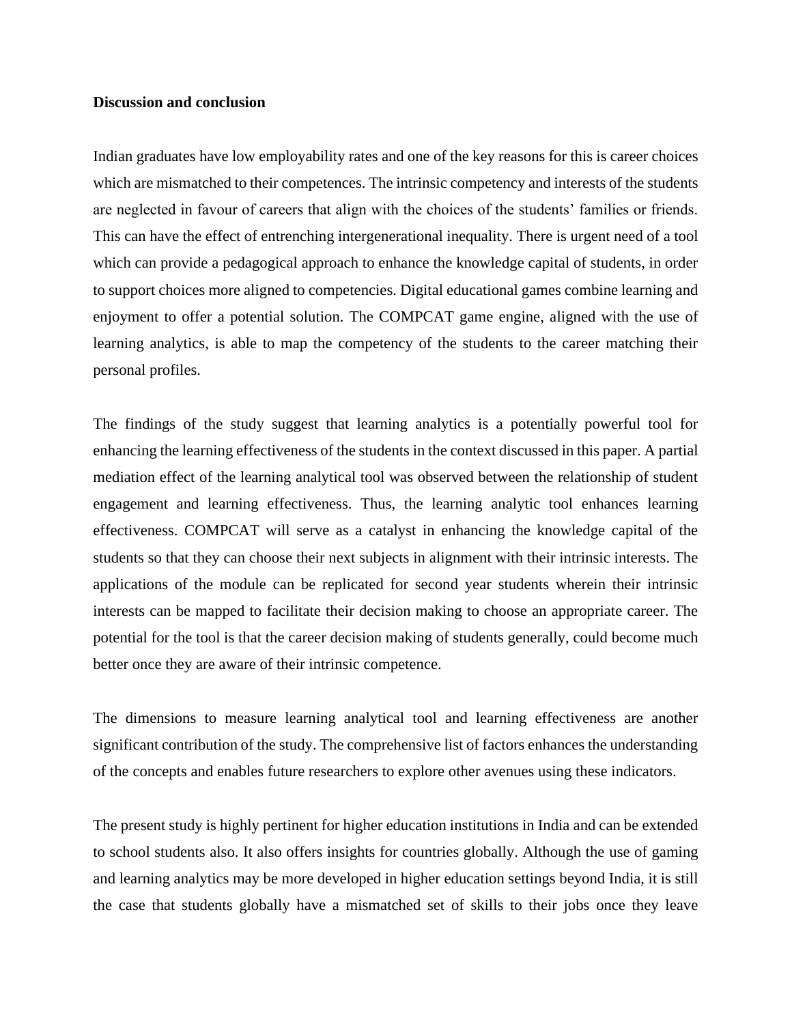#### **Discussion and conclusion**

Indian graduates have low employability rates and one of the key reasons for this is career choices which are mismatched to their competences. The intrinsic competency and interests of the students are neglected in favour of careers that align with the choices of the students' families or friends. This can have the effect of entrenching intergenerational inequality. There is urgent need of a tool which can provide a pedagogical approach to enhance the knowledge capital of students, in order to support choices more aligned to competencies. Digital educational games combine learning and enjoyment to offer a potential solution. The COMPCAT game engine, aligned with the use of learning analytics, is able to map the competency of the students to the career matching their personal profiles.

The findings of the study suggest that learning analytics is a potentially powerful tool for enhancing the learning effectiveness of the students in the context discussed in this paper. A partial mediation effect of the learning analytical tool was observed between the relationship of student engagement and learning effectiveness. Thus, the learning analytic tool enhances learning effectiveness. COMPCAT will serve as a catalyst in enhancing the knowledge capital of the students so that they can choose their next subjects in alignment with their intrinsic interests. The applications of the module can be replicated for second year students wherein their intrinsic interests can be mapped to facilitate their decision making to choose an appropriate career. The potential for the tool is that the career decision making of students generally, could become much better once they are aware of their intrinsic competence.

The dimensions to measure learning analytical tool and learning effectiveness are another significant contribution of the study. The comprehensive list of factors enhances the understanding of the concepts and enables future researchers to explore other avenues using these indicators.

The present study is highly pertinent for higher education institutions in India and can be extended to school students also. It also offers insights for countries globally. Although the use of gaming and learning analytics may be more developed in higher education settings beyond India, it is still the case that students globally have a mismatched set of skills to their jobs once they leave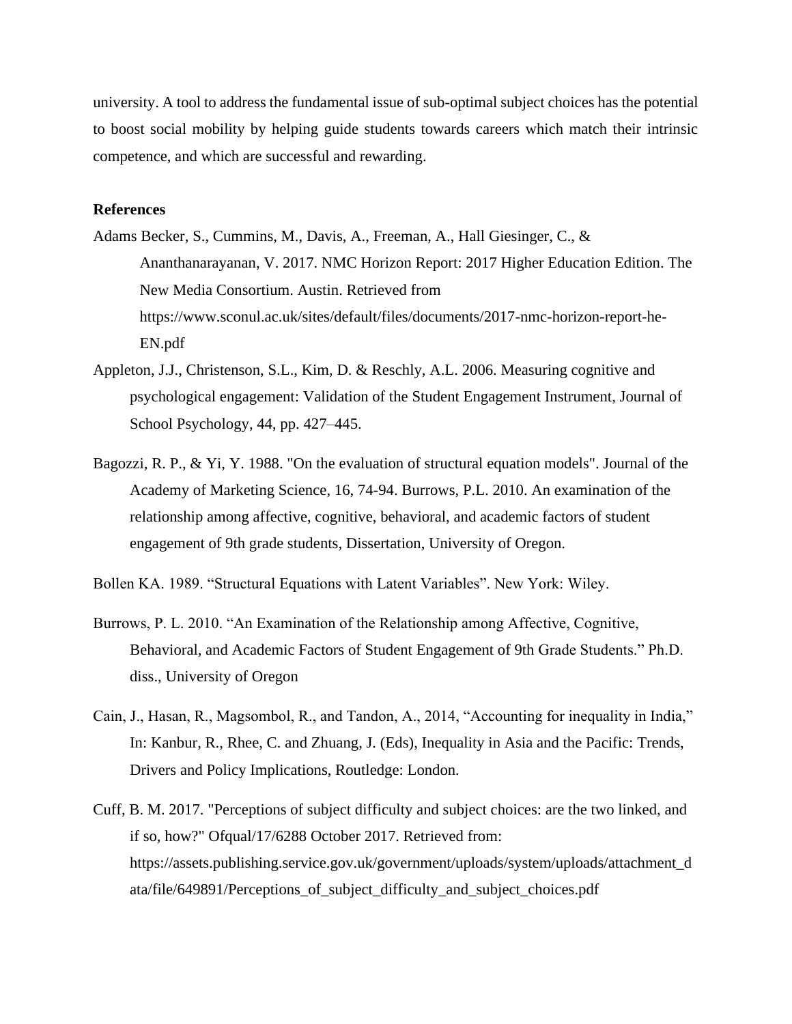university. A tool to address the fundamental issue of sub-optimal subject choices has the potential to boost social mobility by helping guide students towards careers which match their intrinsic competence, and which are successful and rewarding.

#### **References**

- Adams Becker, S., Cummins, M., Davis, A., Freeman, A., Hall Giesinger, C., & Ananthanarayanan, V. 2017. NMC Horizon Report: 2017 Higher Education Edition. The New Media Consortium. Austin. Retrieved from https://www.sconul.ac.uk/sites/default/files/documents/2017-nmc-horizon-report-he-EN.pdf
- Appleton, J.J., Christenson, S.L., Kim, D. & Reschly, A.L. 2006. Measuring cognitive and psychological engagement: Validation of the Student Engagement Instrument, Journal of School Psychology, 44, pp. 427–445.
- Bagozzi, R. P., & Yi, Y. 1988. "On the evaluation of structural equation models". Journal of the Academy of Marketing Science, 16, 74-94. Burrows, P.L. 2010. An examination of the relationship among affective, cognitive, behavioral, and academic factors of student engagement of 9th grade students, Dissertation, University of Oregon.
- Bollen KA. 1989. "Structural Equations with Latent Variables". New York: Wiley.
- Burrows, P. L. 2010. "An Examination of the Relationship among Affective, Cognitive, Behavioral, and Academic Factors of Student Engagement of 9th Grade Students." Ph.D. diss., University of Oregon
- Cain, J., Hasan, R., Magsombol, R., and Tandon, A., 2014, "Accounting for inequality in India," In: Kanbur, R., Rhee, C. and Zhuang, J. (Eds), Inequality in Asia and the Pacific: Trends, Drivers and Policy Implications, Routledge: London.
- Cuff, B. M. 2017. "Perceptions of subject difficulty and subject choices: are the two linked, and if so, how?" Ofqual/17/6288 October 2017. Retrieved from: https://assets.publishing.service.gov.uk/government/uploads/system/uploads/attachment\_d ata/file/649891/Perceptions\_of\_subject\_difficulty\_and\_subject\_choices.pdf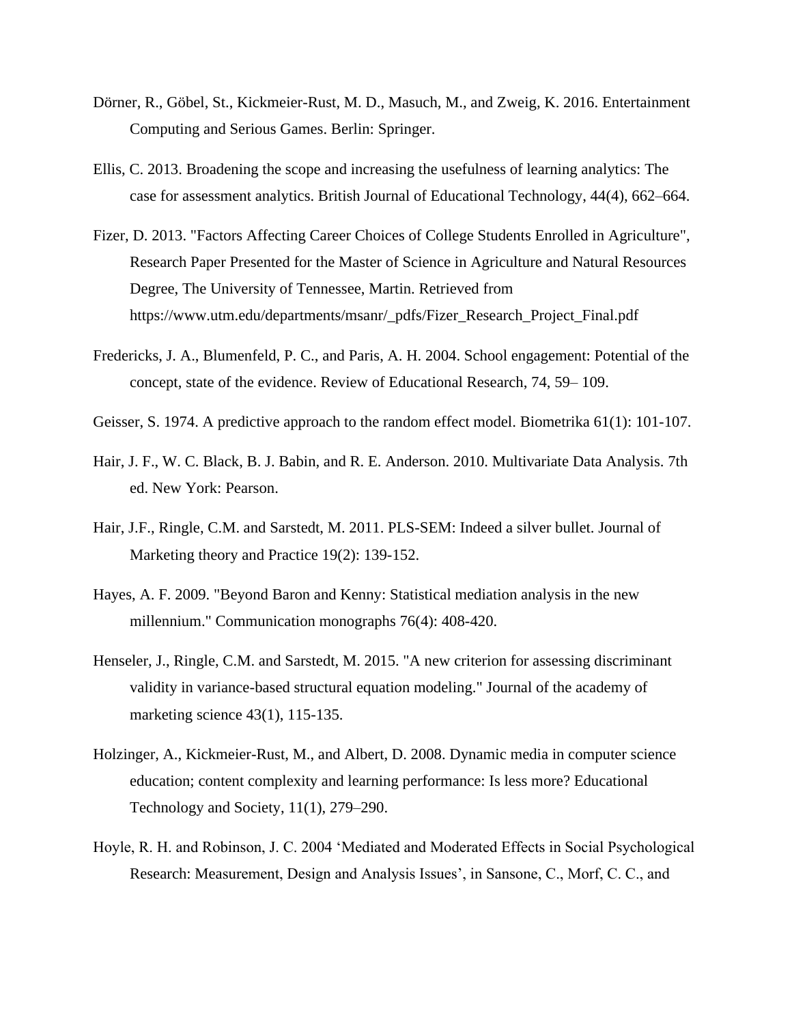- Dörner, R., Göbel, St., Kickmeier-Rust, M. D., Masuch, M., and Zweig, K. 2016. Entertainment Computing and Serious Games. Berlin: Springer.
- Ellis, C. 2013. Broadening the scope and increasing the usefulness of learning analytics: The case for assessment analytics. British Journal of Educational Technology, 44(4), 662–664.
- Fizer, D. 2013. "Factors Affecting Career Choices of College Students Enrolled in Agriculture", Research Paper Presented for the Master of Science in Agriculture and Natural Resources Degree, The University of Tennessee, Martin. Retrieved from https://www.utm.edu/departments/msanr/\_pdfs/Fizer\_Research\_Project\_Final.pdf
- Fredericks, J. A., Blumenfeld, P. C., and Paris, A. H. 2004. School engagement: Potential of the concept, state of the evidence. Review of Educational Research, 74, 59– 109.
- Geisser, S. 1974. A predictive approach to the random effect model. Biometrika 61(1): 101-107.
- Hair, J. F., W. C. Black, B. J. Babin, and R. E. Anderson. 2010. Multivariate Data Analysis. 7th ed. New York: Pearson.
- Hair, J.F., Ringle, C.M. and Sarstedt, M. 2011. PLS-SEM: Indeed a silver bullet. Journal of Marketing theory and Practice 19(2): 139-152.
- Hayes, A. F. 2009. "Beyond Baron and Kenny: Statistical mediation analysis in the new millennium." Communication monographs 76(4): 408-420.
- Henseler, J., Ringle, C.M. and Sarstedt, M. 2015. "A new criterion for assessing discriminant validity in variance-based structural equation modeling." Journal of the academy of marketing science 43(1), 115-135.
- Holzinger, A., Kickmeier-Rust, M., and Albert, D. 2008. Dynamic media in computer science education; content complexity and learning performance: Is less more? Educational Technology and Society, 11(1), 279–290.
- Hoyle, R. H. and Robinson, J. C. 2004 'Mediated and Moderated Effects in Social Psychological Research: Measurement, Design and Analysis Issues', in Sansone, C., Morf, C. C., and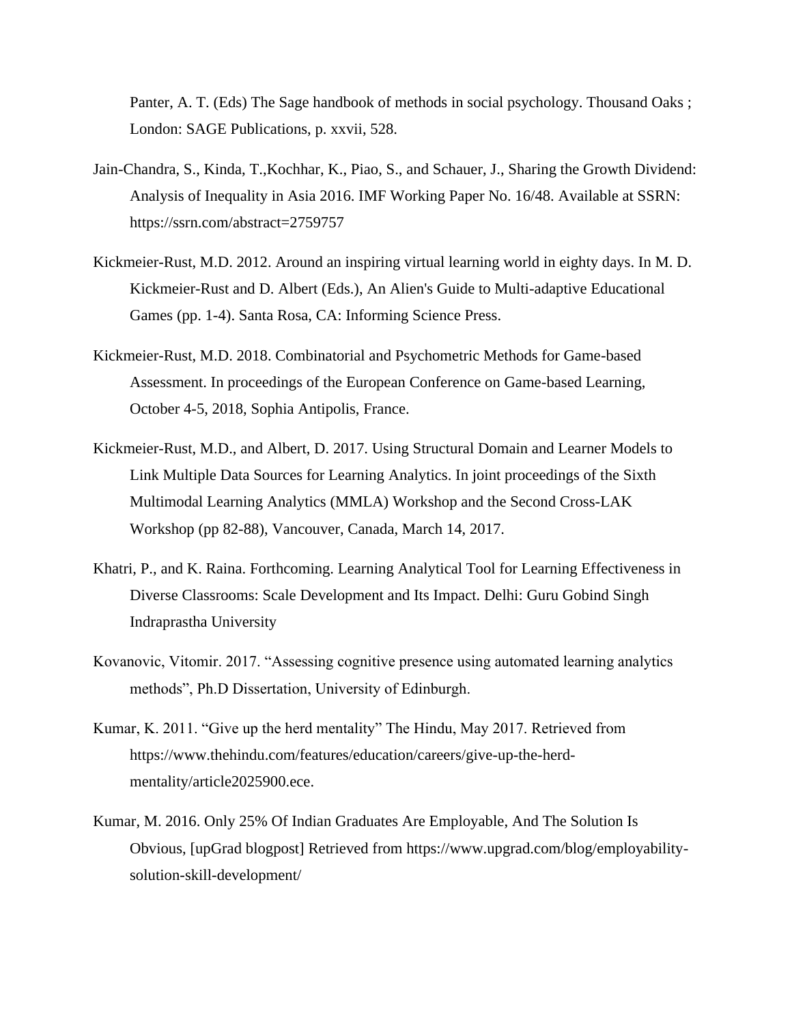Panter, A. T. (Eds) The Sage handbook of methods in social psychology. Thousand Oaks ; London: SAGE Publications, p. xxvii, 528.

- Jain-Chandra, S., Kinda, T.,Kochhar, K., Piao, S., and Schauer, J., Sharing the Growth Dividend: Analysis of Inequality in Asia 2016. IMF Working Paper No. 16/48. Available at SSRN: https://ssrn.com/abstract=2759757
- Kickmeier-Rust, M.D. 2012. Around an inspiring virtual learning world in eighty days. In M. D. Kickmeier-Rust and D. Albert (Eds.), An Alien's Guide to Multi-adaptive Educational Games (pp. 1-4). Santa Rosa, CA: Informing Science Press.
- Kickmeier-Rust, M.D. 2018. Combinatorial and Psychometric Methods for Game-based Assessment. In proceedings of the European Conference on Game-based Learning, October 4-5, 2018, Sophia Antipolis, France.
- Kickmeier-Rust, M.D., and Albert, D. 2017. Using Structural Domain and Learner Models to Link Multiple Data Sources for Learning Analytics. In joint proceedings of the Sixth Multimodal Learning Analytics (MMLA) Workshop and the Second Cross-LAK Workshop (pp 82-88), Vancouver, Canada, March 14, 2017.
- Khatri, P., and K. Raina. Forthcoming. Learning Analytical Tool for Learning Effectiveness in Diverse Classrooms: Scale Development and Its Impact. Delhi: Guru Gobind Singh Indraprastha University
- Kovanovic, Vitomir. 2017. "Assessing cognitive presence using automated learning analytics methods", Ph.D Dissertation, University of Edinburgh.
- Kumar, K. 2011. "Give up the herd mentality" The Hindu, May 2017. Retrieved from https://www.thehindu.com/features/education/careers/give-up-the-herdmentality/article2025900.ece.
- Kumar, M. 2016. Only 25% Of Indian Graduates Are Employable, And The Solution Is Obvious, [upGrad blogpost] Retrieved from https://www.upgrad.com/blog/employabilitysolution-skill-development/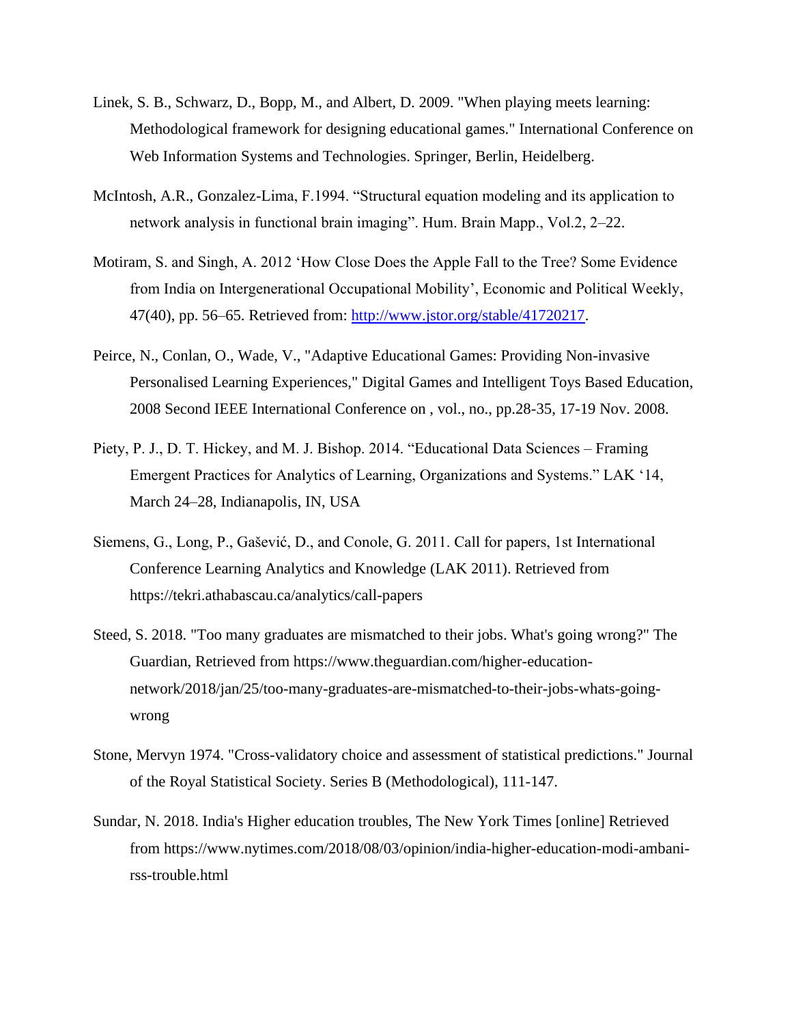- Linek, S. B., Schwarz, D., Bopp, M., and Albert, D. 2009. "When playing meets learning: Methodological framework for designing educational games." International Conference on Web Information Systems and Technologies. Springer, Berlin, Heidelberg.
- McIntosh, A.R., Gonzalez-Lima, F.1994. "Structural equation modeling and its application to network analysis in functional brain imaging". Hum. Brain Mapp., Vol.2, 2–22.
- Motiram, S. and Singh, A. 2012 'How Close Does the Apple Fall to the Tree? Some Evidence from India on Intergenerational Occupational Mobility', Economic and Political Weekly, 47(40), pp. 56–65. Retrieved from: [http://www.jstor.org/stable/41720217.](http://www.jstor.org/stable/41720217)
- Peirce, N., Conlan, O., Wade, V., "Adaptive Educational Games: Providing Non-invasive Personalised Learning Experiences," Digital Games and Intelligent Toys Based Education, 2008 Second IEEE International Conference on , vol., no., pp.28-35, 17-19 Nov. 2008.
- Piety, P. J., D. T. Hickey, and M. J. Bishop. 2014. "Educational Data Sciences Framing Emergent Practices for Analytics of Learning, Organizations and Systems." LAK '14, March 24–28, Indianapolis, IN, USA
- Siemens, G., Long, P., Gašević, D., and Conole, G. 2011. Call for papers, 1st International Conference Learning Analytics and Knowledge (LAK 2011). Retrieved from https://tekri.athabascau.ca/analytics/call-papers
- Steed, S. 2018. "Too many graduates are mismatched to their jobs. What's going wrong?" The Guardian, Retrieved from https://www.theguardian.com/higher-educationnetwork/2018/jan/25/too-many-graduates-are-mismatched-to-their-jobs-whats-goingwrong
- Stone, Mervyn 1974. "Cross-validatory choice and assessment of statistical predictions." Journal of the Royal Statistical Society. Series B (Methodological), 111-147.
- Sundar, N. 2018. India's Higher education troubles, The New York Times [online] Retrieved from https://www.nytimes.com/2018/08/03/opinion/india-higher-education-modi-ambanirss-trouble.html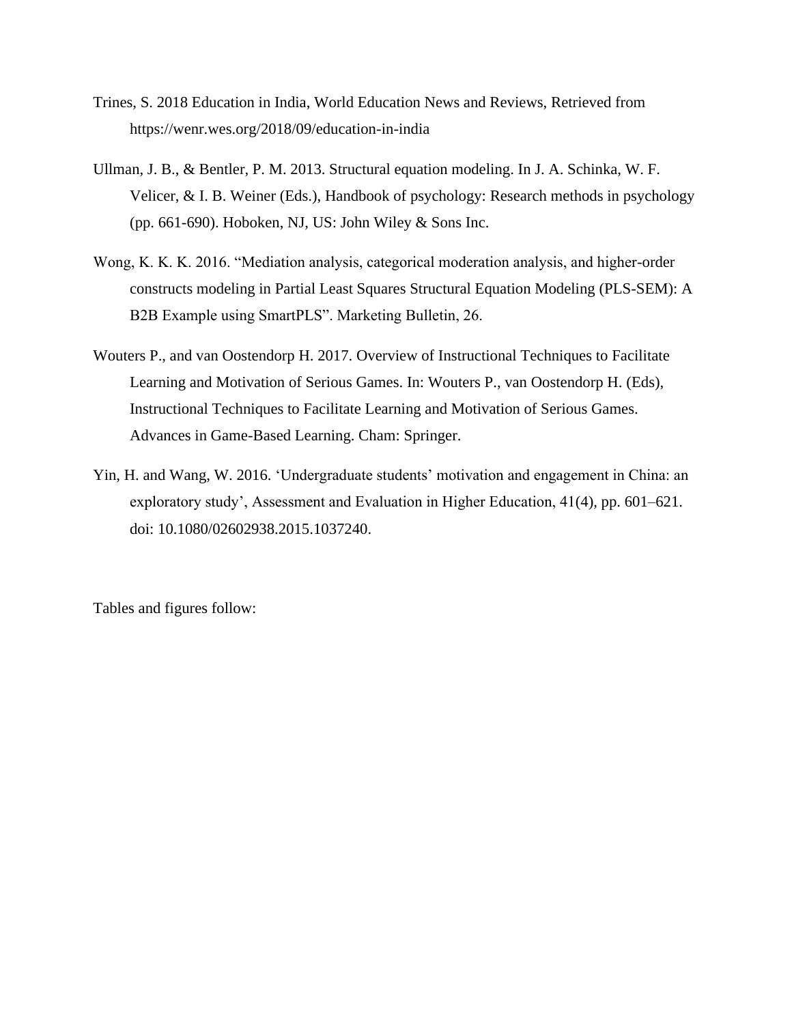- Trines, S. 2018 Education in India, World Education News and Reviews, Retrieved from https://wenr.wes.org/2018/09/education-in-india
- Ullman, J. B., & Bentler, P. M. 2013. Structural equation modeling. In J. A. Schinka, W. F. Velicer, & I. B. Weiner (Eds.), Handbook of psychology: Research methods in psychology (pp. 661-690). Hoboken, NJ, US: John Wiley & Sons Inc.
- Wong, K. K. K. 2016. "Mediation analysis, categorical moderation analysis, and higher-order constructs modeling in Partial Least Squares Structural Equation Modeling (PLS-SEM): A B2B Example using SmartPLS". Marketing Bulletin, 26.
- Wouters P., and van Oostendorp H. 2017. Overview of Instructional Techniques to Facilitate Learning and Motivation of Serious Games. In: Wouters P., van Oostendorp H. (Eds), Instructional Techniques to Facilitate Learning and Motivation of Serious Games. Advances in Game-Based Learning. Cham: Springer.
- Yin, H. and Wang, W. 2016. 'Undergraduate students' motivation and engagement in China: an exploratory study', Assessment and Evaluation in Higher Education, 41(4), pp. 601–621. doi: 10.1080/02602938.2015.1037240.

Tables and figures follow: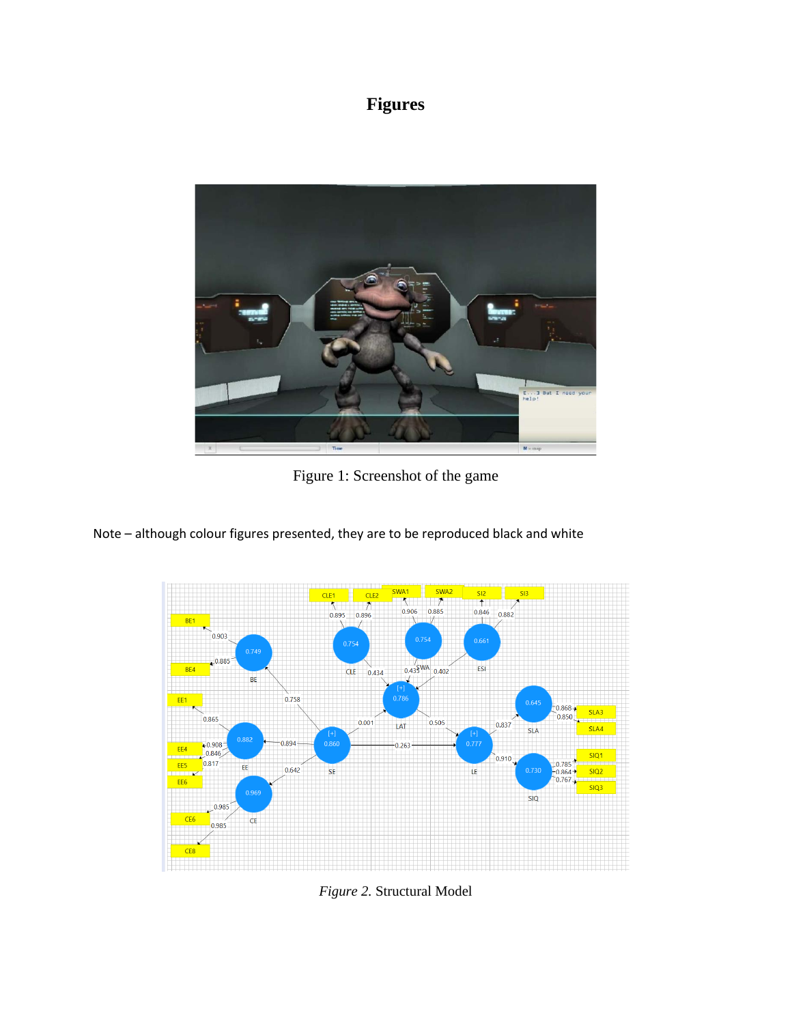# **Figures**



Figure 1: Screenshot of the game

Note – although colour figures presented, they are to be reproduced black and white



*Figure 2.* Structural Model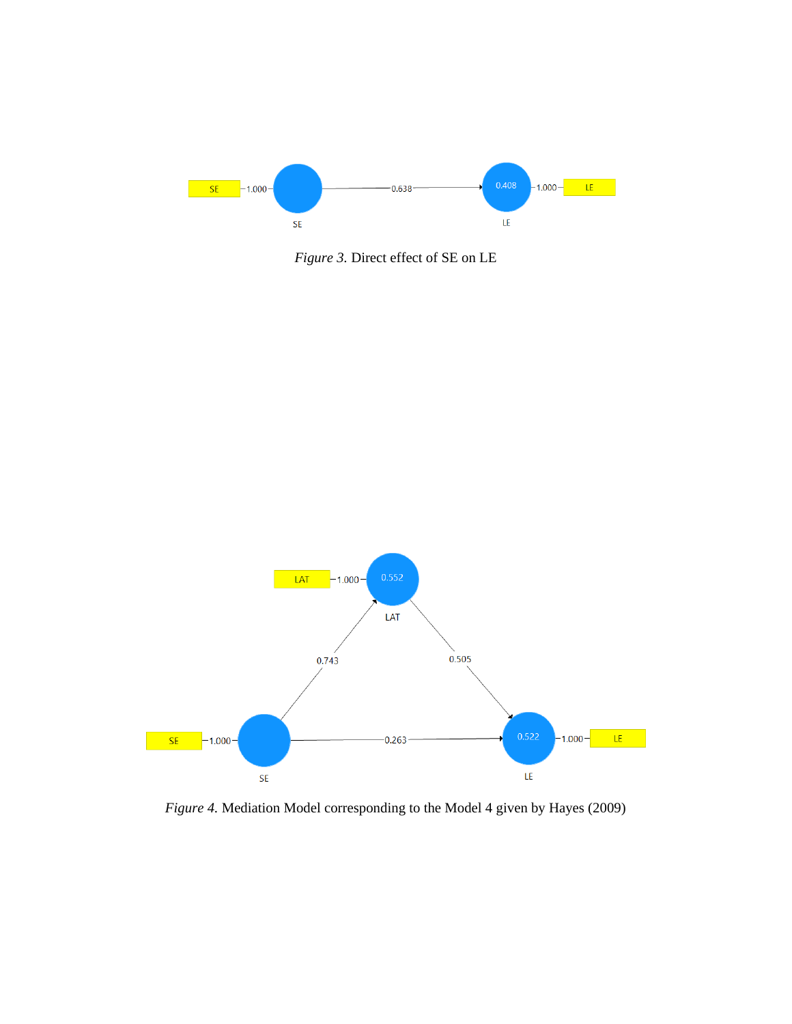

*Figure 3.* Direct effect of SE on LE



*Figure 4.* Mediation Model corresponding to the Model 4 given by Hayes (2009)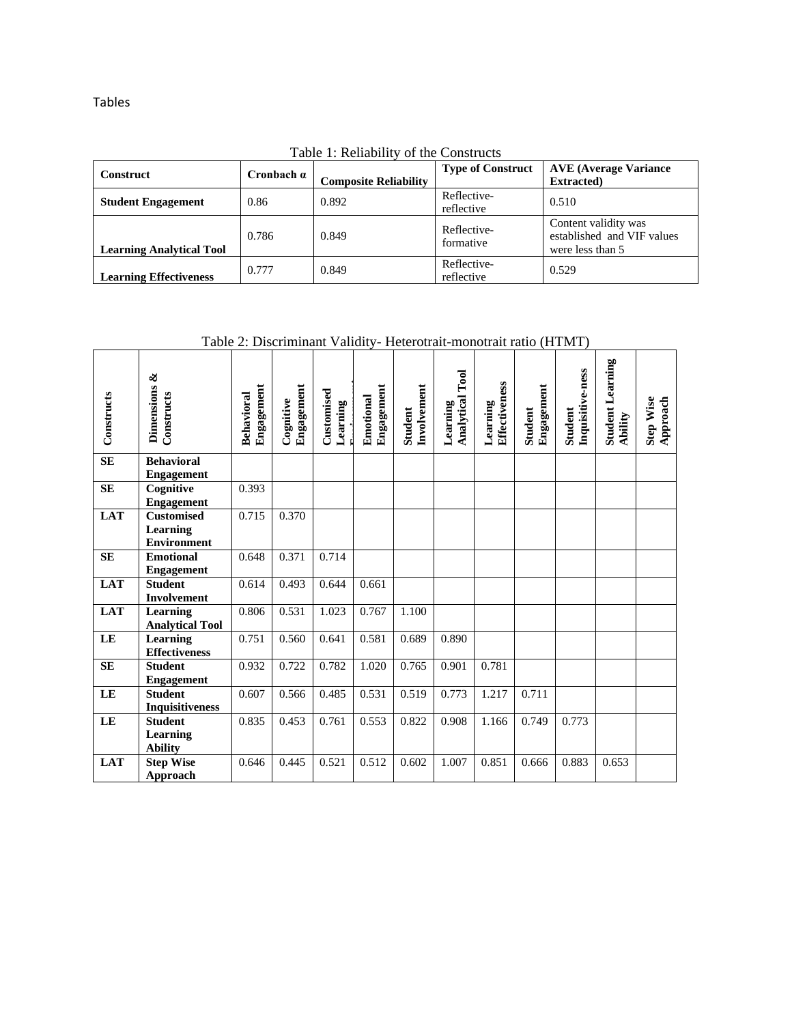Tables

|  |  | Table 1: Reliability of the Constructs |
|--|--|----------------------------------------|
|--|--|----------------------------------------|

| <b>Construct</b>                | Cronbach $\alpha$ | <b>Composite Reliability</b> | <b>Type of Construct</b>  | <b>AVE (Average Variance</b><br><b>Extracted</b> )                     |
|---------------------------------|-------------------|------------------------------|---------------------------|------------------------------------------------------------------------|
| <b>Student Engagement</b>       | 0.86              | 0.892                        | Reflective-<br>reflective | 0.510                                                                  |
| <b>Learning Analytical Tool</b> | 0.786             | 0.849                        | Reflective-<br>formative  | Content validity was<br>established and VIF values<br>were less than 5 |
| <b>Learning Effectiveness</b>   | 0.777             | 0.849                        | Reflective-<br>reflective | 0.529                                                                  |

Table 2: Discriminant Validity- Heterotrait-monotrait ratio (HTMT)

| Constructs | ళ<br><b>Dimensions</b><br>Constructs                | Engagement<br>Behavioral | Engagement<br>Cognitive | Customised<br>Learning | Engagement<br>Emotional | Involvement | $\Gamma$ ool<br>Analytical<br>Learning | Effectiveness<br>Learning | Engagement | Inquisitive-ness | <b>Student Learning</b> | <b>Step Wise</b><br>Approach |
|------------|-----------------------------------------------------|--------------------------|-------------------------|------------------------|-------------------------|-------------|----------------------------------------|---------------------------|------------|------------------|-------------------------|------------------------------|
|            |                                                     |                          |                         |                        |                         | Student     |                                        |                           | Student    | Student          | Ability                 |                              |
| <b>SE</b>  | <b>Behavioral</b><br><b>Engagement</b>              |                          |                         |                        |                         |             |                                        |                           |            |                  |                         |                              |
| <b>SE</b>  | Cognitive<br><b>Engagement</b>                      | 0.393                    |                         |                        |                         |             |                                        |                           |            |                  |                         |                              |
| <b>LAT</b> | <b>Customised</b><br>Learning<br><b>Environment</b> | 0.715                    | 0.370                   |                        |                         |             |                                        |                           |            |                  |                         |                              |
| <b>SE</b>  | <b>Emotional</b><br><b>Engagement</b>               | 0.648                    | 0.371                   | 0.714                  |                         |             |                                        |                           |            |                  |                         |                              |
| <b>LAT</b> | <b>Student</b><br><b>Involvement</b>                | 0.614                    | 0.493                   | 0.644                  | 0.661                   |             |                                        |                           |            |                  |                         |                              |
| <b>LAT</b> | Learning<br><b>Analytical Tool</b>                  | 0.806                    | 0.531                   | 1.023                  | 0.767                   | 1.100       |                                        |                           |            |                  |                         |                              |
| LE         | Learning<br><b>Effectiveness</b>                    | 0.751                    | 0.560                   | 0.641                  | 0.581                   | 0.689       | 0.890                                  |                           |            |                  |                         |                              |
| <b>SE</b>  | <b>Student</b><br><b>Engagement</b>                 | 0.932                    | 0.722                   | 0.782                  | 1.020                   | 0.765       | 0.901                                  | 0.781                     |            |                  |                         |                              |
| LE         | <b>Student</b><br><b>Inquisitiveness</b>            | 0.607                    | 0.566                   | 0.485                  | 0.531                   | 0.519       | 0.773                                  | 1.217                     | 0.711      |                  |                         |                              |
| LE         | <b>Student</b><br>Learning<br><b>Ability</b>        | 0.835                    | 0.453                   | 0.761                  | 0.553                   | 0.822       | 0.908                                  | 1.166                     | 0.749      | 0.773            |                         |                              |
| <b>LAT</b> | <b>Step Wise</b><br>Approach                        | 0.646                    | 0.445                   | 0.521                  | 0.512                   | 0.602       | 1.007                                  | 0.851                     | 0.666      | 0.883            | 0.653                   |                              |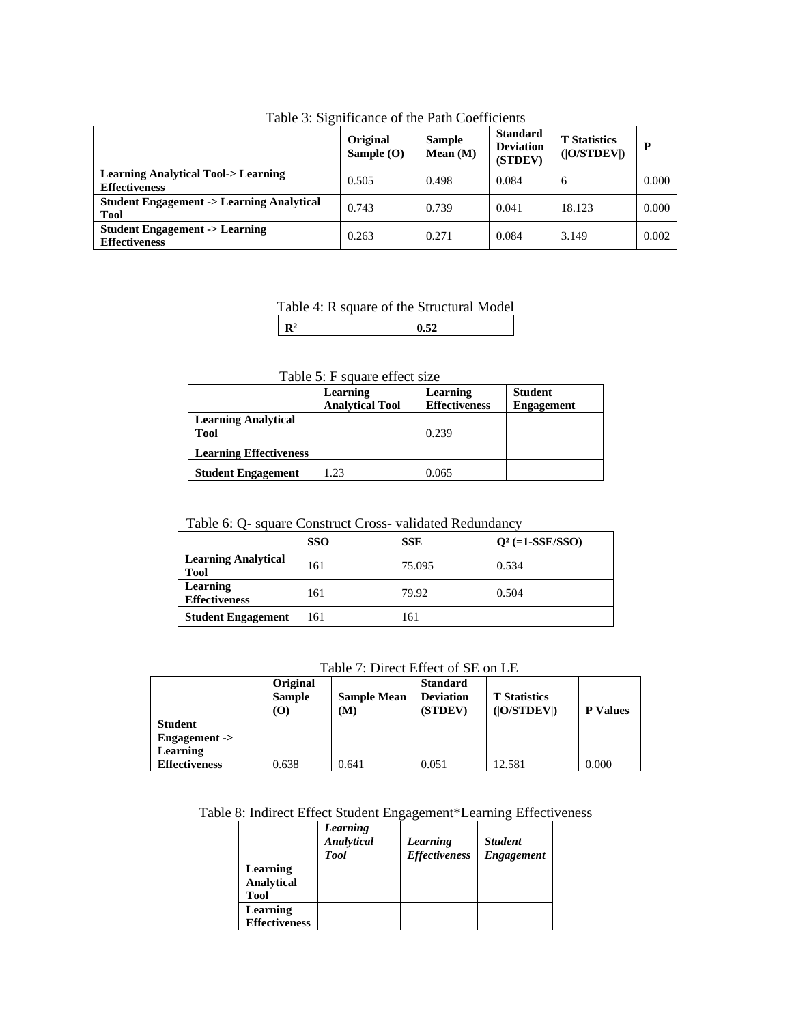| - wore <i>c</i> . presente which                                      | Original<br>Sample $(O)$ | <b>Sample</b><br>Mean (M) | <b>Standard</b><br><b>Deviation</b><br>(STDEV) | <b>T</b> Statistics<br>( O/STDEV ) |       |
|-----------------------------------------------------------------------|--------------------------|---------------------------|------------------------------------------------|------------------------------------|-------|
| <b>Learning Analytical Tool-&gt; Learning</b><br><b>Effectiveness</b> | 0.505                    | 0.498                     | 0.084                                          | 6                                  | 0.000 |
| <b>Student Engagement -&gt; Learning Analytical</b><br>Tool           | 0.743                    | 0.739                     | 0.041                                          | 18.123                             | 0.000 |
| <b>Student Engagement -&gt; Learning</b><br><b>Effectiveness</b>      | 0.263                    | 0.271                     | 0.084                                          | 3.149                              | 0.002 |

Table 3: Significance of the Path Coefficients

#### Table 4: R square of the Structural Model

**R<sup>2</sup> 0.52**

#### Table 5: F square effect size

|                               | Learning               | Learning             | <b>Student</b>    |
|-------------------------------|------------------------|----------------------|-------------------|
|                               | <b>Analytical Tool</b> | <b>Effectiveness</b> | <b>Engagement</b> |
| <b>Learning Analytical</b>    |                        |                      |                   |
| <b>Tool</b>                   |                        | 0.239                |                   |
| <b>Learning Effectiveness</b> |                        |                      |                   |
| <b>Student Engagement</b>     | 1.23                   | 0.065                |                   |

#### Table 6: Q- square Construct Cross- validated Redundancy

|                                           | <b>SSO</b> | <b>SSE</b> | $Q^2$ (=1-SSE/SSO) |
|-------------------------------------------|------------|------------|--------------------|
| <b>Learning Analytical</b><br><b>Tool</b> | 161        | 75.095     | 0.534              |
| Learning<br><b>Effectiveness</b>          | 161        | 79.92      | 0.504              |
| <b>Student Engagement</b>                 | 161        | 161        |                    |

#### Table 7: Direct Effect of SE on LE

|                      | Original<br><b>Sample</b><br>O) | <b>Sample Mean</b><br>(M) | <b>Standard</b><br><b>Deviation</b><br>(STDEV) | <b>T</b> Statistics<br>( <b>O/STDEV</b> ) | <b>Values</b> |
|----------------------|---------------------------------|---------------------------|------------------------------------------------|-------------------------------------------|---------------|
| <b>Student</b>       |                                 |                           |                                                |                                           |               |
| Engagement ->        |                                 |                           |                                                |                                           |               |
| Learning             |                                 |                           |                                                |                                           |               |
| <b>Effectiveness</b> | 0.638                           | 0.641                     | 0.051                                          | 12.581                                    | 0.000         |

#### Table 8: Indirect Effect Student Engagement\*Learning Effectiveness

|                      | Learning<br><b>Analytical</b><br><b>Tool</b> | Learning<br><b>Effectiveness</b> | <b>Student</b><br><b>Engagement</b> |
|----------------------|----------------------------------------------|----------------------------------|-------------------------------------|
| Learning             |                                              |                                  |                                     |
| Analytical           |                                              |                                  |                                     |
| <b>Tool</b>          |                                              |                                  |                                     |
| Learning             |                                              |                                  |                                     |
| <b>Effectiveness</b> |                                              |                                  |                                     |